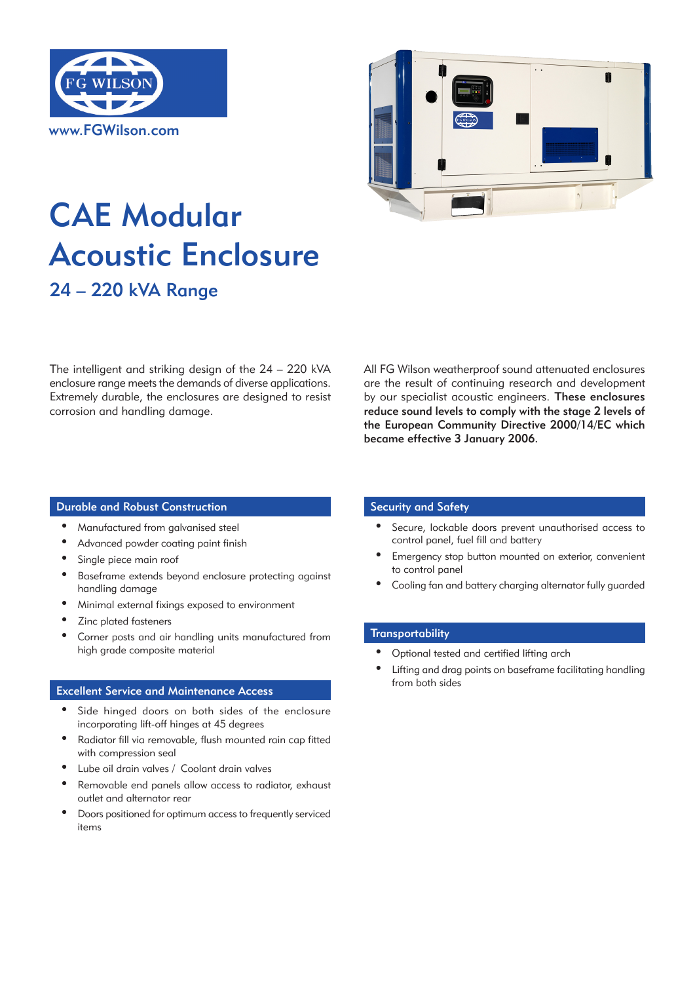



# CAE Modular Acoustic Enclosure 24 – 220 kVA Range

The intelligent and striking design of the 24 – 220 kVA enclosure range meets the demands of diverse applications. Extremely durable, the enclosures are designed to resist corrosion and handling damage.

All FG Wilson weatherproof sound attenuated enclosures are the result of continuing research and development by our specialist acoustic engineers. These enclosures reduce sound levels to comply with the stage 2 levels of the European Community Directive 2000/14/EC which became effective 3 January 2006.

### Durable and Robust Construction Security and Safety

- • Manufactured from galvanised steel
- Advanced powder coating paint finish
- Single piece main roof
- Baseframe extends beyond enclosure protecting against handling damage
- Minimal external fixings exposed to environment
- Zinc plated fasteners
- Corner posts and air handling units manufactured from high grade composite material

### Excellent Service and Maintenance Access

- Side hinged doors on both sides of the enclosure incorporating lift-off hinges at 45 degrees
- Radiator fill via removable, flush mounted rain cap fitted with compression seal
- Lube oil drain valves / Coolant drain valves
- Removable end panels allow access to radiator, exhaust outlet and alternator rear
- Doors positioned for optimum access to frequently serviced items

- Secure, lockable doors prevent unauthorised access to control panel, fuel fill and battery
- Emergency stop button mounted on exterior, convenient to control panel
- Cooling fan and battery charging alternator fully guarded

## **Transportability**

- • Optional tested and certified lifting arch
- Lifting and drag points on baseframe facilitating handling from both sides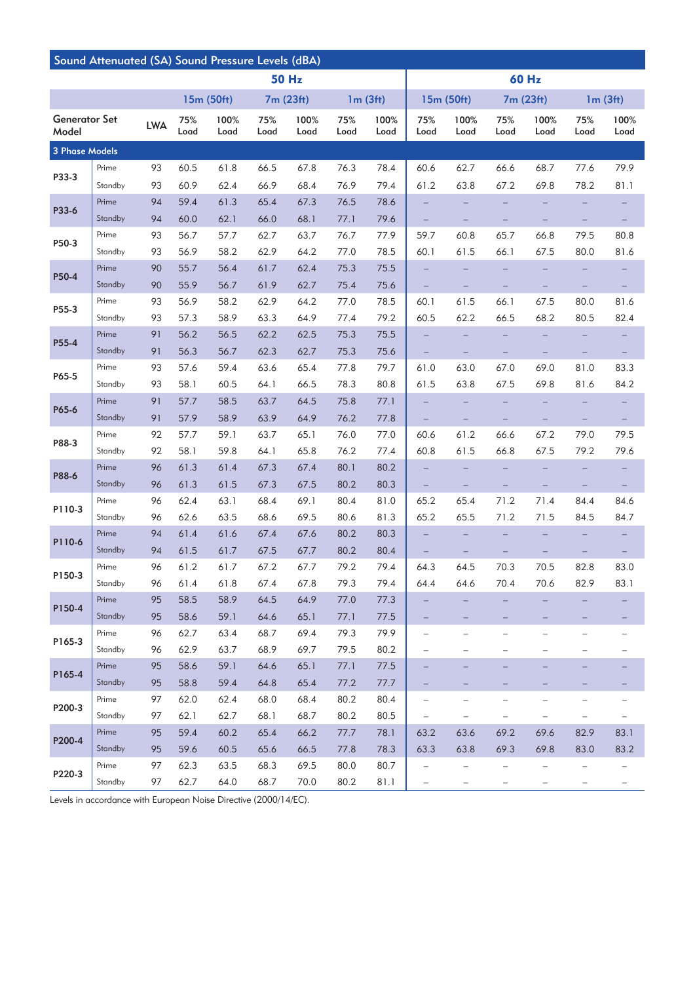| Sound Attenuated (SA) Sound Pressure Levels (dBA) |         |            |             |              |             |              |             |              |                          |                          |                          |                          |                   |                          |
|---------------------------------------------------|---------|------------|-------------|--------------|-------------|--------------|-------------|--------------|--------------------------|--------------------------|--------------------------|--------------------------|-------------------|--------------------------|
|                                                   |         |            |             |              |             | <b>50 Hz</b> |             |              | <b>60 Hz</b>             |                          |                          |                          |                   |                          |
|                                                   |         | 15m (50ft) |             |              | 7m (23ft)   |              | 1m(3ft)     |              | 15m (50ft)               |                          | 7m (23ft)                |                          | 1m(3ft)           |                          |
| <b>Generator Set</b><br>Model                     |         | <b>LWA</b> | 75%<br>Load | 100%<br>Load | 75%<br>Load | 100%<br>Load | 75%<br>Load | 100%<br>Load | 75%<br>Load              | 100%<br>Load             | 75%<br>Load              | 100%<br>Load             | 75%<br>Load       | 100%<br>Load             |
| 3 Phase Models                                    |         |            |             |              |             |              |             |              |                          |                          |                          |                          |                   |                          |
| P33-3                                             | Prime   | 93         | 60.5        | 61.8         | 66.5        | 67.8         | 76.3        | 78.4         | 60.6                     | 62.7                     | 66.6                     | 68.7                     | 77.6              | 79.9                     |
|                                                   | Standby | 93         | 60.9        | 62.4         | 66.9        | 68.4         | 76.9        | 79.4         | 61.2                     | 63.8                     | 67.2                     | 69.8                     | 78.2              | 81.1                     |
| P33-6                                             | Prime   | 94         | 59.4        | 61.3         | 65.4        | 67.3         | 76.5        | 78.6         |                          |                          |                          |                          |                   |                          |
|                                                   | Standby | 94         | 60.0        | 62.1         | 66.0        | 68.1         | 77.1        | 79.6         | $\qquad \qquad -$        |                          |                          |                          |                   | $\overline{\phantom{0}}$ |
|                                                   | Prime   | 93         | 56.7        | 57.7         | 62.7        | 63.7         | 76.7        | 77.9         | 59.7                     | 60.8                     | 65.7                     | 66.8                     | 79.5              | 80.8                     |
| P50-3                                             | Standby | 93         | 56.9        | 58.2         | 62.9        | 64.2         | 77.0        | 78.5         | 60.1                     | 61.5                     | 66.1                     | 67.5                     | 80.0              | 81.6                     |
|                                                   | Prime   | 90         | 55.7        | 56.4         | 61.7        | 62.4         | 75.3        | 75.5         |                          |                          |                          |                          |                   |                          |
| P50-4                                             | Standby | 90         | 55.9        | 56.7         | 61.9        | 62.7         | 75.4        | 75.6         |                          |                          |                          |                          |                   |                          |
| P55-3                                             | Prime   | 93         | 56.9        | 58.2         | 62.9        | 64.2         | 77.0        | 78.5         | 60.1                     | 61.5                     | 66.1                     | 67.5                     | 80.0              | 81.6                     |
|                                                   | Standby | 93         | 57.3        | 58.9         | 63.3        | 64.9         | 77.4        | 79.2         | 60.5                     | 62.2                     | 66.5                     | 68.2                     | 80.5              | 82.4                     |
| P55-4                                             | Prime   | 91         | 56.2        | 56.5         | 62.2        | 62.5         | 75.3        | 75.5         |                          |                          |                          |                          |                   |                          |
|                                                   | Standby | 91         | 56.3        | 56.7         | 62.3        | 62.7         | 75.3        | 75.6         |                          |                          |                          |                          |                   |                          |
| P65-5                                             | Prime   | 93         | 57.6        | 59.4         | 63.6        | 65.4         | 77.8        | 79.7         | 61.0                     | 63.0                     | 67.0                     | 69.0                     | 81.0              | 83.3                     |
|                                                   | Standby | 93         | 58.1        | 60.5         | 64.1        | 66.5         | 78.3        | 80.8         | 61.5                     | 63.8                     | 67.5                     | 69.8                     | 81.6              | 84.2                     |
| P65-6                                             | Prime   | 91         | 57.7        | 58.5         | 63.7        | 64.5         | 75.8        | 77.1         |                          |                          |                          |                          |                   |                          |
|                                                   | Standby | 91         | 57.9        | 58.9         | 63.9        | 64.9         | 76.2        | 77.8         |                          |                          |                          |                          |                   |                          |
| P88-3                                             | Prime   | 92         | 57.7        | 59.1         | 63.7        | 65.1         | 76.0        | 77.0         | 60.6                     | 61.2                     | 66.6                     | 67.2                     | 79.0              | 79.5                     |
|                                                   | Standby | 92         | 58.1        | 59.8         | 64.1        | 65.8         | 76.2        | 77.4         | 60.8                     | 61.5                     | 66.8                     | 67.5                     | 79.2              | 79.6                     |
| P88-6                                             | Prime   | 96         | 61.3        | 61.4         | 67.3        | 67.4         | 80.1        | 80.2         |                          |                          |                          |                          |                   |                          |
|                                                   | Standby | 96         | 61.3        | 61.5         | 67.3        | 67.5         | 80.2        | 80.3         | $\qquad \qquad -$        |                          |                          |                          |                   |                          |
| P110-3                                            | Prime   | 96         | 62.4        | 63.1         | 68.4        | 69.1         | 80.4        | 81.0         | 65.2                     | 65.4                     | 71.2                     | 71.4                     | 84.4              | 84.6                     |
|                                                   | Standby | 96         | 62.6        | 63.5         | 68.6        | 69.5         | 80.6        | 81.3         | 65.2                     | 65.5                     | 71.2                     | 71.5                     | 84.5              | 84.7                     |
| P110-6                                            | Prime   | 94         | 61.4        | 61.6         | 67.4        | 67.6         | 80.2        | 80.3         |                          |                          |                          |                          |                   |                          |
|                                                   | Standby | 94         | 61.5        | 61.7         | 67.5        | 67.7         | 80.2        | 80.4         |                          |                          |                          |                          |                   |                          |
| P150-3                                            | Prime   | 96         | 61.2        | 61.7         | 67.2        | 67.7         | 79.2        | 79.4         | 64.3                     | 64.5                     | 70.3                     | 70.5                     | 82.8              | 83.0                     |
|                                                   | Standby | 96         | 61.4        | 61.8         | 67.4        | 67.8         | 79.3        | 79.4         | 64.4                     | 64.6                     | 70.4                     | 70.6                     | 82.9              | 83.1                     |
| P150-4                                            | Prime   | 95         | 58.5        | 58.9         | 64.5        | 64.9         | 77.0        | 77.3         |                          |                          |                          |                          |                   |                          |
|                                                   | Standby | 95         | 58.6        | 59.1         | 64.6        | 65.1         | 77.1        | 77.5         |                          |                          |                          |                          |                   |                          |
| P165-3                                            | Prime   | 96         | 62.7        | 63.4         | 68.7        | 69.4         | 79.3        | 79.9         | $\qquad \qquad -$        | -                        | $\overline{\phantom{0}}$ | $\overline{\phantom{0}}$ | -                 |                          |
|                                                   | Standby | 96         | 62.9        | 63.7         | 68.9        | 69.7         | 79.5        | 80.2         |                          |                          | $\overline{\phantom{0}}$ |                          |                   |                          |
| P165-4                                            | Prime   | 95         | 58.6        | 59.1         | 64.6        | 65.1         | 77.1        | 77.5         |                          |                          |                          |                          |                   |                          |
|                                                   | Standby | 95         | 58.8        | 59.4         | 64.8        | 65.4         | 77.2        | 77.7         |                          |                          |                          |                          |                   |                          |
| P200-3                                            | Prime   | 97         | 62.0        | 62.4         | 68.0        | 68.4         | 80.2        | 80.4         | $\qquad \qquad -$        | -                        | $\overline{\phantom{0}}$ | -                        | -                 |                          |
|                                                   | Standby | 97         | 62.1        | 62.7         | 68.1        | 68.7         | 80.2        | 80.5         | $\overline{\phantom{0}}$ | -                        | $\overline{\phantom{0}}$ | $\overline{\phantom{0}}$ | $\qquad \qquad -$ |                          |
| P200-4                                            | Prime   | 95         | 59.4        | 60.2         | 65.4        | 66.2         | 77.7        | 78.1         | 63.2                     | 63.6                     | 69.2                     | 69.6                     | 82.9              | 83.1                     |
|                                                   | Standby | 95         | 59.6        | 60.5         | 65.6        | 66.5         | 77.8        | 78.3         | 63.3                     | 63.8                     | 69.3                     | 69.8                     | 83.0              | 83.2                     |
| P220-3                                            | Prime   | 97         | 62.3        | 63.5         | 68.3        | 69.5         | 80.0        | 80.7         | $\qquad \qquad -$        | -                        | -                        |                          |                   | $\qquad \qquad -$        |
|                                                   | Standby | 97         | 62.7        | 64.0         | 68.7        | 70.0         | 80.2        | 81.1         | $\qquad \qquad -$        | $\overline{\phantom{0}}$ |                          |                          | $\qquad \qquad -$ | $\qquad \qquad -$        |

Levels in accordance with European Noise Directive (2000/14/EC).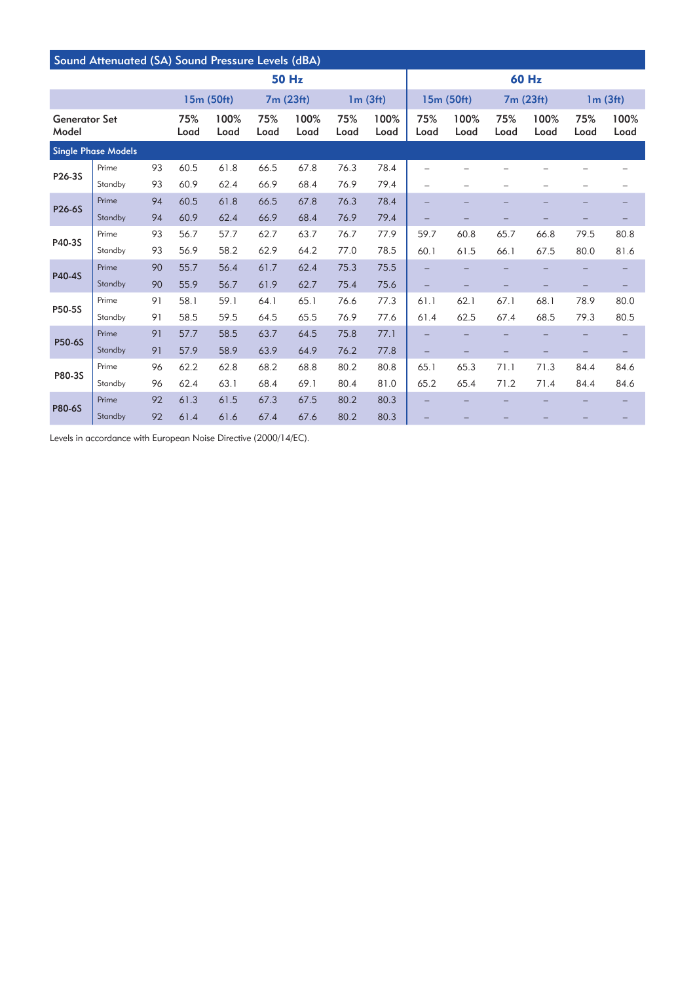| Sound Attenuated (SA) Sound Pressure Levels (dBA) |         |             |              |             |              |             |              |             |                          |             |              |             |              |      |
|---------------------------------------------------|---------|-------------|--------------|-------------|--------------|-------------|--------------|-------------|--------------------------|-------------|--------------|-------------|--------------|------|
| 50 Hz                                             |         |             |              |             |              |             |              | 60 Hz       |                          |             |              |             |              |      |
|                                                   |         |             | 15m (50ft)   |             | 7m (23ft)    |             | 1m(3ft)      |             | 15m (50ft)               |             | 7m (23ft)    |             | 1m(3ft)      |      |
| <b>Generator Set</b><br>Model                     |         | 75%<br>Load | 100%<br>Load | 75%<br>Load | 100%<br>Load | 75%<br>Load | 100%<br>Load | 75%<br>Load | 100%<br>Load             | 75%<br>Load | 100%<br>Load | 75%<br>Load | 100%<br>Load |      |
| <b>Single Phase Models</b>                        |         |             |              |             |              |             |              |             |                          |             |              |             |              |      |
| P26-3S                                            | Prime   | 93          | 60.5         | 61.8        | 66.5         | 67.8        | 76.3         | 78.4        |                          |             |              |             |              |      |
|                                                   | Standby | 93          | 60.9         | 62.4        | 66.9         | 68.4        | 76.9         | 79.4        | $\overline{\phantom{0}}$ |             |              |             |              |      |
| <b>P26-6S</b>                                     | Prime   | 94          | 60.5         | 61.8        | 66.5         | 67.8        | 76.3         | 78.4        | $\overline{\phantom{0}}$ |             |              |             |              |      |
|                                                   | Standby | 94          | 60.9         | 62.4        | 66.9         | 68.4        | 76.9         | 79.4        |                          |             |              |             |              |      |
| P40-3S                                            | Prime   | 93          | 56.7         | 57.7        | 62.7         | 63.7        | 76.7         | 77.9        | 59.7                     | 60.8        | 65.7         | 66.8        | 79.5         | 80.8 |
|                                                   | Standby | 93          | 56.9         | 58.2        | 62.9         | 64.2        | 77.0         | 78.5        | 60.1                     | 61.5        | 66.1         | 67.5        | 80.0         | 81.6 |
|                                                   | Prime   | 90          | 55.7         | 56.4        | 61.7         | 62.4        | 75.3         | 75.5        |                          |             |              |             |              |      |
| P40-4S                                            | Standby | 90          | 55.9         | 56.7        | 61.9         | 62.7        | 75.4         | 75.6        |                          |             |              |             |              |      |
|                                                   | Prime   | 91          | 58.1         | 59.1        | 64.1         | 65.1        | 76.6         | 77.3        | 61.1                     | 62.1        | 67.1         | 68.1        | 78.9         | 80.0 |
| P50-5S                                            | Standby | 91          | 58.5         | 59.5        | 64.5         | 65.5        | 76.9         | 77.6        | 61.4                     | 62.5        | 67.4         | 68.5        | 79.3         | 80.5 |
| P50-6S                                            | Prime   | 91          | 57.7         | 58.5        | 63.7         | 64.5        | 75.8         | 77.1        |                          |             |              |             |              |      |
|                                                   | Standby | 91          | 57.9         | 58.9        | 63.9         | 64.9        | 76.2         | 77.8        |                          |             |              |             |              |      |
| P80-3S                                            | Prime   | 96          | 62.2         | 62.8        | 68.2         | 68.8        | 80.2         | 80.8        | 65.1                     | 65.3        | 71.1         | 71.3        | 84.4         | 84.6 |
|                                                   | Standby | 96          | 62.4         | 63.1        | 68.4         | 69.1        | 80.4         | 81.0        | 65.2                     | 65.4        | 71.2         | 71.4        | 84.4         | 84.6 |
| <b>P80-6S</b>                                     | Prime   | 92          | 61.3         | 61.5        | 67.3         | 67.5        | 80.2         | 80.3        |                          |             |              |             |              |      |
|                                                   | Standby | 92          | 61.4         | 61.6        | 67.4         | 67.6        | 80.2         | 80.3        |                          |             |              |             |              |      |

Levels in accordance with European Noise Directive (2000/14/EC).